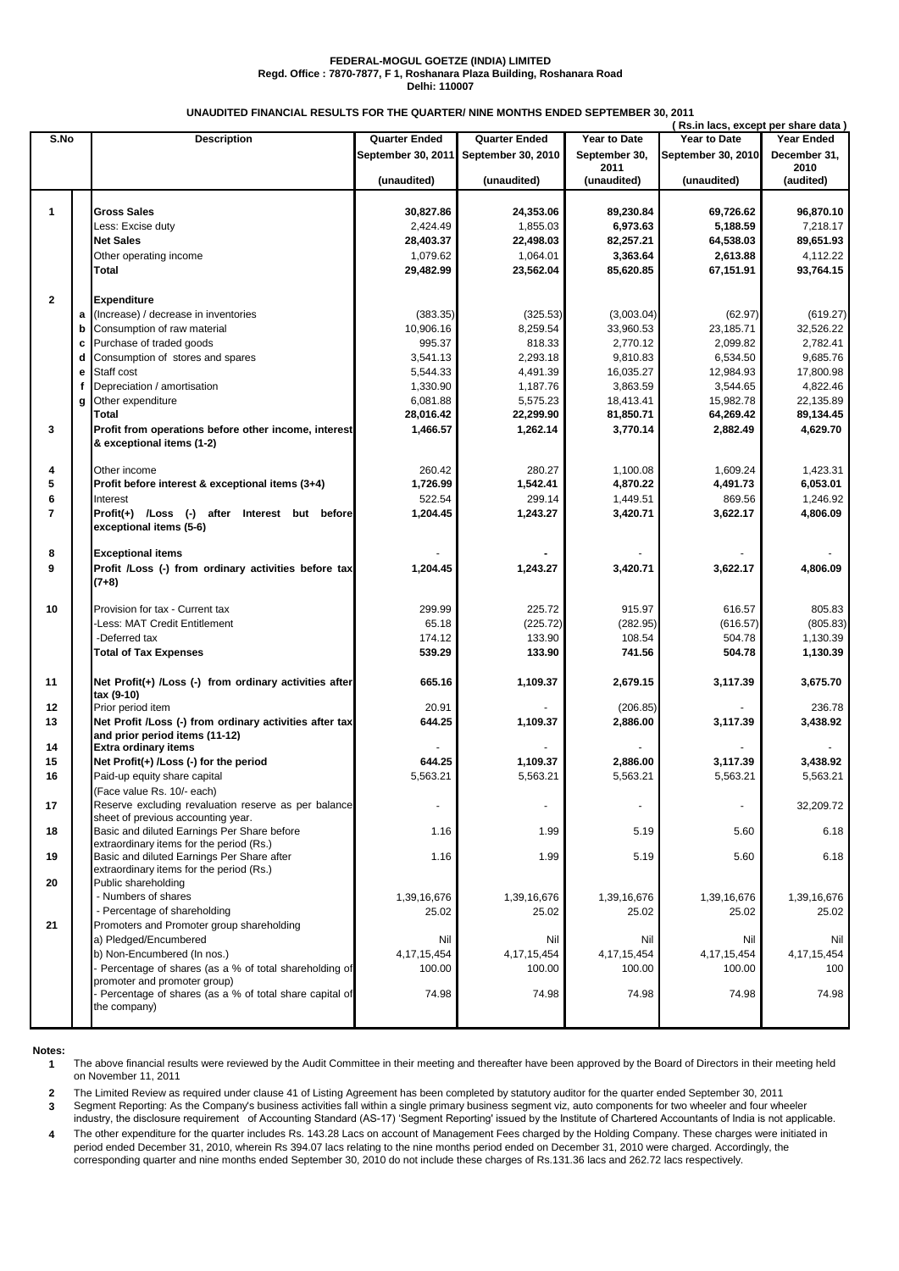## **FEDERAL-MOGUL GOETZE (INDIA) LIMITED Regd. Office : 7870-7877, F 1, Roshanara Plaza Building, Roshanara Road Delhi: 110007**

**UNAUDITED FINANCIAL RESULTS FOR THE QUARTER/ NINE MONTHS ENDED SEPTEMBER 30, 2011**

|                |              | (Rs.in lacs, except per share data)                                               |                       |                       |                       |                       |                       |
|----------------|--------------|-----------------------------------------------------------------------------------|-----------------------|-----------------------|-----------------------|-----------------------|-----------------------|
| S.No           |              | <b>Description</b>                                                                | <b>Quarter Ended</b>  | <b>Quarter Ended</b>  | Year to Date          | Year to Date          | Year Ended            |
|                |              |                                                                                   | September 30, 2011    | September 30, 2010    | September 30,         | September 30, 2010    | December 31,          |
|                |              |                                                                                   |                       |                       | 2011                  |                       | 2010                  |
|                |              |                                                                                   | (unaudited)           | (unaudited)           | (unaudited)           | (unaudited)           | (audited)             |
|                |              |                                                                                   |                       |                       |                       |                       |                       |
| $\mathbf{1}$   |              | <b>Gross Sales</b>                                                                | 30.827.86             | 24,353.06             | 89,230.84             | 69,726.62             | 96,870.10             |
|                |              | Less: Excise duty<br><b>Net Sales</b>                                             | 2.424.49<br>28,403.37 | 1.855.03<br>22,498.03 | 6,973.63<br>82,257.21 | 5.188.59<br>64,538.03 | 7,218.17<br>89,651.93 |
|                |              |                                                                                   | 1,079.62              | 1,064.01              | 3,363.64              | 2,613.88              | 4,112.22              |
|                |              | Other operating income<br>Total                                                   | 29,482.99             | 23,562.04             | 85,620.85             | 67,151.91             | 93,764.15             |
|                |              |                                                                                   |                       |                       |                       |                       |                       |
| $\mathbf{2}$   |              | <b>Expenditure</b>                                                                |                       |                       |                       |                       |                       |
|                |              | a (Increase) / decrease in inventories                                            | (383.35)              | (325.53)              | (3,003.04)            | (62.97)               | (619.27)              |
|                | b            | Consumption of raw material                                                       | 10,906.16             | 8,259.54              | 33,960.53             | 23.185.71             | 32.526.22             |
|                | c            | Purchase of traded goods                                                          | 995.37                | 818.33                | 2,770.12              | 2,099.82              | 2,782.41              |
|                | d            | Consumption of stores and spares                                                  | 3,541.13              | 2,293.18              | 9,810.83              | 6,534.50              | 9,685.76              |
|                | е            | Staff cost                                                                        | 5,544.33              | 4,491.39              | 16,035.27             | 12,984.93             | 17,800.98             |
|                | f            | Depreciation / amortisation                                                       | 1,330.90              | 1,187.76              | 3,863.59              | 3,544.65              | 4,822.46              |
|                | $\mathbf{q}$ | Other expenditure                                                                 | 6,081.88              | 5,575.23              | 18,413.41             | 15,982.78             | 22,135.89             |
|                |              | Total                                                                             | 28,016.42             | 22,299.90             | 81,850.71             | 64,269.42             | 89,134.45             |
| 3              |              | Profit from operations before other income, interest                              | 1,466.57              | 1,262.14              | 3,770.14              | 2,882.49              | 4,629.70              |
|                |              | & exceptional items (1-2)                                                         |                       |                       |                       |                       |                       |
|                |              | Other income                                                                      | 260.42                | 280.27                |                       |                       |                       |
| 4<br>5         |              | Profit before interest & exceptional items (3+4)                                  | 1,726.99              | 1,542.41              | 1,100.08<br>4,870.22  | 1,609.24<br>4,491.73  | 1,423.31<br>6,053.01  |
| 6              |              | Interest                                                                          | 522.54                | 299.14                |                       | 869.56                | 1,246.92              |
| $\overline{7}$ |              | Profit(+) /Loss (-) after Interest but before                                     | 1,204.45              | 1,243.27              | 1,449.51<br>3,420.71  | 3,622.17              | 4,806.09              |
|                |              | exceptional items (5-6)                                                           |                       |                       |                       |                       |                       |
| 8              |              | <b>Exceptional items</b>                                                          |                       |                       |                       |                       |                       |
| 9              |              | Profit /Loss (-) from ordinary activities before tax                              | 1,204.45              | 1,243.27              | 3,420.71              | 3,622.17              | 4,806.09              |
|                |              | $(7+8)$                                                                           |                       |                       |                       |                       |                       |
|                |              |                                                                                   |                       |                       |                       |                       |                       |
| 10             |              | Provision for tax - Current tax                                                   | 299.99                | 225.72                | 915.97                | 616.57                | 805.83                |
|                |              | Less: MAT Credit Entitlement                                                      | 65.18                 | (225.72)              | (282.95)              | (616.57)              | (805.83)              |
|                |              | -Deferred tax                                                                     | 174.12                | 133.90                | 108.54                | 504.78                | 1,130.39              |
|                |              | <b>Total of Tax Expenses</b>                                                      | 539.29                | 133.90                | 741.56                | 504.78                | 1,130.39              |
|                |              |                                                                                   |                       |                       |                       |                       |                       |
| 11             |              | Net Profit(+) /Loss (-) from ordinary activities after<br>tax (9-10)              | 665.16                | 1,109.37              | 2,679.15              | 3,117.39              | 3,675.70              |
| 12             |              | Prior period item                                                                 | 20.91                 |                       | (206.85)              |                       | 236.78                |
| 13             |              | Net Profit /Loss (-) from ordinary activities after tax                           | 644.25                | 1,109.37              | 2,886.00              | 3,117.39              | 3,438.92              |
|                |              | and prior period items (11-12)                                                    |                       |                       |                       |                       |                       |
| 14             |              | <b>Extra ordinary items</b>                                                       |                       |                       |                       |                       |                       |
| 15             |              | Net Profit(+) /Loss (-) for the period                                            | 644.25                | 1,109.37              | 2,886.00              | 3,117.39              | 3,438.92              |
| 16             |              | Paid-up equity share capital                                                      | 5,563.21              | 5,563.21              | 5,563.21              | 5,563.21              | 5,563.21              |
|                |              | (Face value Rs. 10/- each)                                                        |                       |                       |                       |                       |                       |
| 17             |              | Reserve excluding revaluation reserve as per balance                              |                       |                       |                       |                       | 32,209.72             |
|                |              | sheet of previous accounting year.<br>Basic and diluted Earnings Per Share before |                       |                       |                       |                       |                       |
| 18             |              | extraordinary items for the period (Rs.)                                          | 1.16                  | 1.99                  | 5.19                  | 5.60                  | 6.18                  |
| 19             |              | Basic and diluted Earnings Per Share after                                        | 1.16                  | 1.99                  | 5.19                  | 5.60                  | 6.18                  |
|                |              | extraordinary items for the period (Rs.)                                          |                       |                       |                       |                       |                       |
| 20             |              | Public shareholding                                                               |                       |                       |                       |                       |                       |
|                |              | - Numbers of shares                                                               | 1,39,16,676           | 1,39,16,676           | 1,39,16,676           | 1,39,16,676           | 1,39,16,676           |
|                |              | - Percentage of shareholding                                                      | 25.02                 | 25.02                 | 25.02                 | 25.02                 | 25.02                 |
| 21             |              | Promoters and Promoter group shareholding                                         |                       |                       |                       |                       |                       |
|                |              | a) Pledged/Encumbered                                                             | Nil                   | Nil                   | Nil                   | Nil                   | Nil                   |
|                |              | b) Non-Encumbered (In nos.)                                                       | 4, 17, 15, 454        | 4, 17, 15, 454        | 4, 17, 15, 454        | 4, 17, 15, 454        | 4, 17, 15, 454        |
|                |              | Percentage of shares (as a % of total shareholding of                             | 100.00                | 100.00                | 100.00                | 100.00                | 100                   |
|                |              | promoter and promoter group)                                                      |                       |                       |                       |                       |                       |
|                |              | Percentage of shares (as a % of total share capital of                            | 74.98                 | 74.98                 | 74.98                 | 74.98                 | 74.98                 |
|                |              | the company)                                                                      |                       |                       |                       |                       |                       |
|                |              |                                                                                   |                       |                       |                       |                       |                       |

**Notes:**

**1** The above financial results were reviewed by the Audit Committee in their meeting and thereafter have been approved by the Board of Directors in their meeting held on November 11, 2011

**2** The Limited Review as required under clause 41 of Listing Agreement has been completed by statutory auditor for the quarter ended September 30, 2011

**3** Segment Reporting: As the Company's business activities fall within a single primary business segment viz, auto components for two wheeler and four wheeler industry, the disclosure requirement of Accounting Standard (AS-17) 'Segment Reporting' issued by the Institute of Chartered Accountants of India is not applicable.

**4** The other expenditure for the quarter includes Rs. 143.28 Lacs on account of Management Fees charged by the Holding Company. These charges were initiated in period ended December 31, 2010, wherein Rs 394.07 lacs relating to the nine months period ended on December 31, 2010 were charged. Accordingly, the corresponding quarter and nine months ended September 30, 2010 do not include these charges of Rs.131.36 lacs and 262.72 lacs respectively.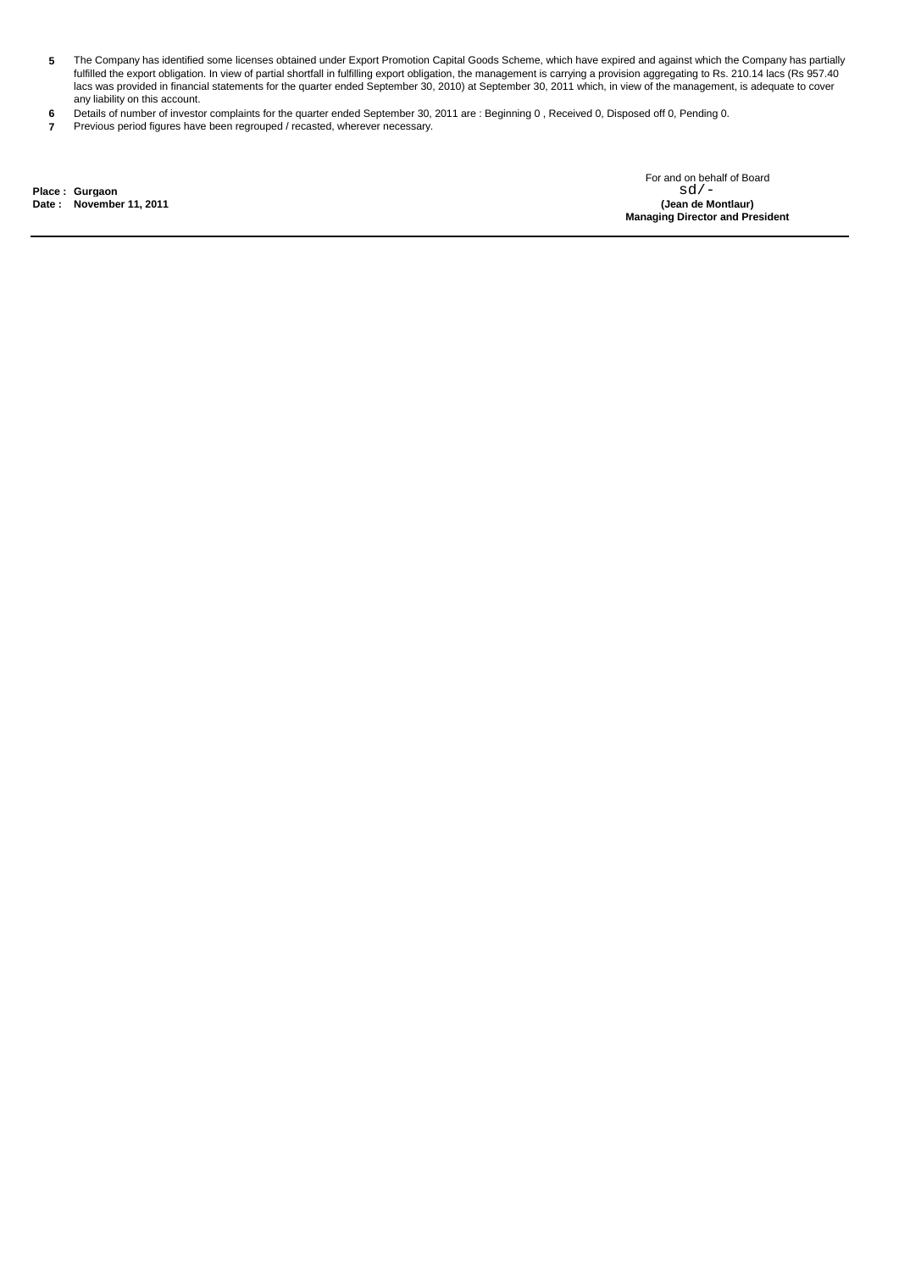- **5** The Company has identified some licenses obtained under Export Promotion Capital Goods Scheme, which have expired and against which the Company has partially fulfilled the export obligation. In view of partial shortfall in fulfilling export obligation, the management is carrying a provision aggregating to Rs. 210.14 lacs (Rs 957.40 lacs was provided in financial statements for the quarter ended September 30, 2010) at September 30, 2011 which, in view of the management, is adequate to cover any liability on this account.
- **6** Details of number of investor complaints for the quarter ended September 30, 2011 are : Beginning 0 , Received 0, Disposed off 0, Pending 0.
- **7** Previous period figures have been regrouped / recasted, wherever necessary.

**Place : Gurgaon**

**Date : (Jean de Montlaur) November 11, 2011 Managing Director and President** For and on behalf of Board  $sd/-$ <br>(Jean de Montlaur)